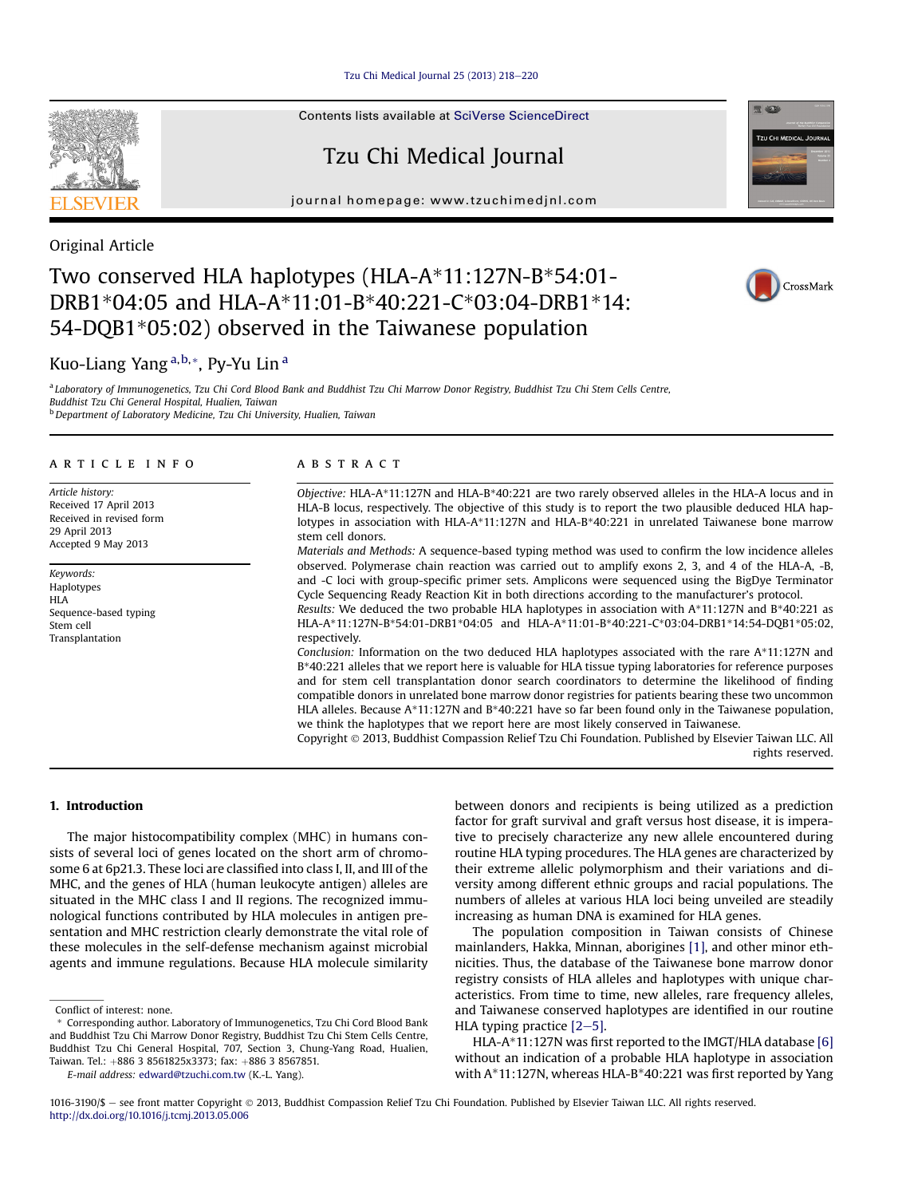Tzu Chi Medical Journal  $25(2013)$   $218-220$  $218-220$ 

Contents lists available at [SciVerse ScienceDirect](www.sciencedirect.com/science/journal/10163190)

## Tzu Chi Medical Journal

journal homepage: [www.tzuchimedjnl.com](http://www.tzuchimedjnl.com)



### Original Article

## Two conserved HLA haplotypes (HLA-A\*11:127N-B\*54:01- DRB1\*04:05 and HLA-A\*11:01-B\*40:221-C\*03:04-DRB1\*14: 54-DQB1\*05:02) observed in the Taiwanese population

# CrossMark

**RE AGEN** 

**TZU CHI MEDICAL JOURN** 

## Kuo-Liang Yang<sup>a,b,\*</sup>, Py-Yu Lin<sup>a</sup>

<sup>a</sup> Laboratory of Immunogenetics, Tzu Chi Cord Blood Bank and Buddhist Tzu Chi Marrow Donor Registry, Buddhist Tzu Chi Stem Cells Centre, Buddhist Tzu Chi General Hospital, Hualien, Taiwan <sup>b</sup> Department of Laboratory Medicine, Tzu Chi University, Hualien, Taiwan

#### article info

Article history: Received 17 April 2013 Received in revised form 29 April 2013 Accepted 9 May 2013

Keywords: Haplotypes HI A Sequence-based typing Stem cell Transplantation

#### **ABSTRACT**

Objective: HLA-A\*11:127N and HLA-B\*40:221 are two rarely observed alleles in the HLA-A locus and in HLA-B locus, respectively. The objective of this study is to report the two plausible deduced HLA haplotypes in association with HLA-A\*11:127N and HLA-B\*40:221 in unrelated Taiwanese bone marrow stem cell donors.

Materials and Methods: A sequence-based typing method was used to confirm the low incidence alleles observed. Polymerase chain reaction was carried out to amplify exons 2, 3, and 4 of the HLA-A, -B, and -C loci with group-specific primer sets. Amplicons were sequenced using the BigDye Terminator Cycle Sequencing Ready Reaction Kit in both directions according to the manufacturer's protocol.

Results: We deduced the two probable HLA haplotypes in association with  $A*11:127N$  and  $B*40:221$  as HLA-A\*11:127N-B\*54:01-DRB1\*04:05 and HLA-A\*11:01-B\*40:221-C\*03:04-DRB1\*14:54-DQB1\*05:02, respectively.

Conclusion: Information on the two deduced HLA haplotypes associated with the rare A\*11:127N and B\*40:221 alleles that we report here is valuable for HLA tissue typing laboratories for reference purposes and for stem cell transplantation donor search coordinators to determine the likelihood of finding compatible donors in unrelated bone marrow donor registries for patients bearing these two uncommon HLA alleles. Because A\*11:127N and B\*40:221 have so far been found only in the Taiwanese population, we think the haplotypes that we report here are most likely conserved in Taiwanese.

Copyright 2013, Buddhist Compassion Relief Tzu Chi Foundation. Published by Elsevier Taiwan LLC. All rights reserved.

#### 1. Introduction

The major histocompatibility complex (MHC) in humans consists of several loci of genes located on the short arm of chromosome 6 at 6p21.3. These loci are classified into class I, II, and III of the MHC, and the genes of HLA (human leukocyte antigen) alleles are situated in the MHC class I and II regions. The recognized immunological functions contributed by HLA molecules in antigen presentation and MHC restriction clearly demonstrate the vital role of these molecules in the self-defense mechanism against microbial agents and immune regulations. Because HLA molecule similarity

E-mail address: [edward@tzuchi.com.tw](mailto:edward@tzuchi.com.tw) (K.-L. Yang).

between donors and recipients is being utilized as a prediction factor for graft survival and graft versus host disease, it is imperative to precisely characterize any new allele encountered during routine HLA typing procedures. The HLA genes are characterized by their extreme allelic polymorphism and their variations and diversity among different ethnic groups and racial populations. The numbers of alleles at various HLA loci being unveiled are steadily increasing as human DNA is examined for HLA genes.

The population composition in Taiwan consists of Chinese mainlanders, Hakka, Minnan, aborigines [\[1\],](#page-2-0) and other minor ethnicities. Thus, the database of the Taiwanese bone marrow donor registry consists of HLA alleles and haplotypes with unique characteristics. From time to time, new alleles, rare frequency alleles, and Taiwanese conserved haplotypes are identified in our routine HLA typing practice  $[2-5]$  $[2-5]$ .

HLA-A\*11:127N was first reported to the IMGT/HLA database [\[6\]](#page-2-0) without an indication of a probable HLA haplotype in association with A\*11:127N, whereas HLA-B\*40:221 was first reported by Yang

Conflict of interest: none.

<sup>\*</sup> Corresponding author. Laboratory of Immunogenetics, Tzu Chi Cord Blood Bank and Buddhist Tzu Chi Marrow Donor Registry, Buddhist Tzu Chi Stem Cells Centre, Buddhist Tzu Chi General Hospital, 707, Section 3, Chung-Yang Road, Hualien, Taiwan. Tel.: +886 3 8561825x3373; fax: +886 3 8567851.

<sup>1016-3190/\$ -</sup> see front matter Copyright © 2013, Buddhist Compassion Relief Tzu Chi Foundation. Published by Elsevier Taiwan LLC. All rights reserved. <http://dx.doi.org/10.1016/j.tcmj.2013.05.006>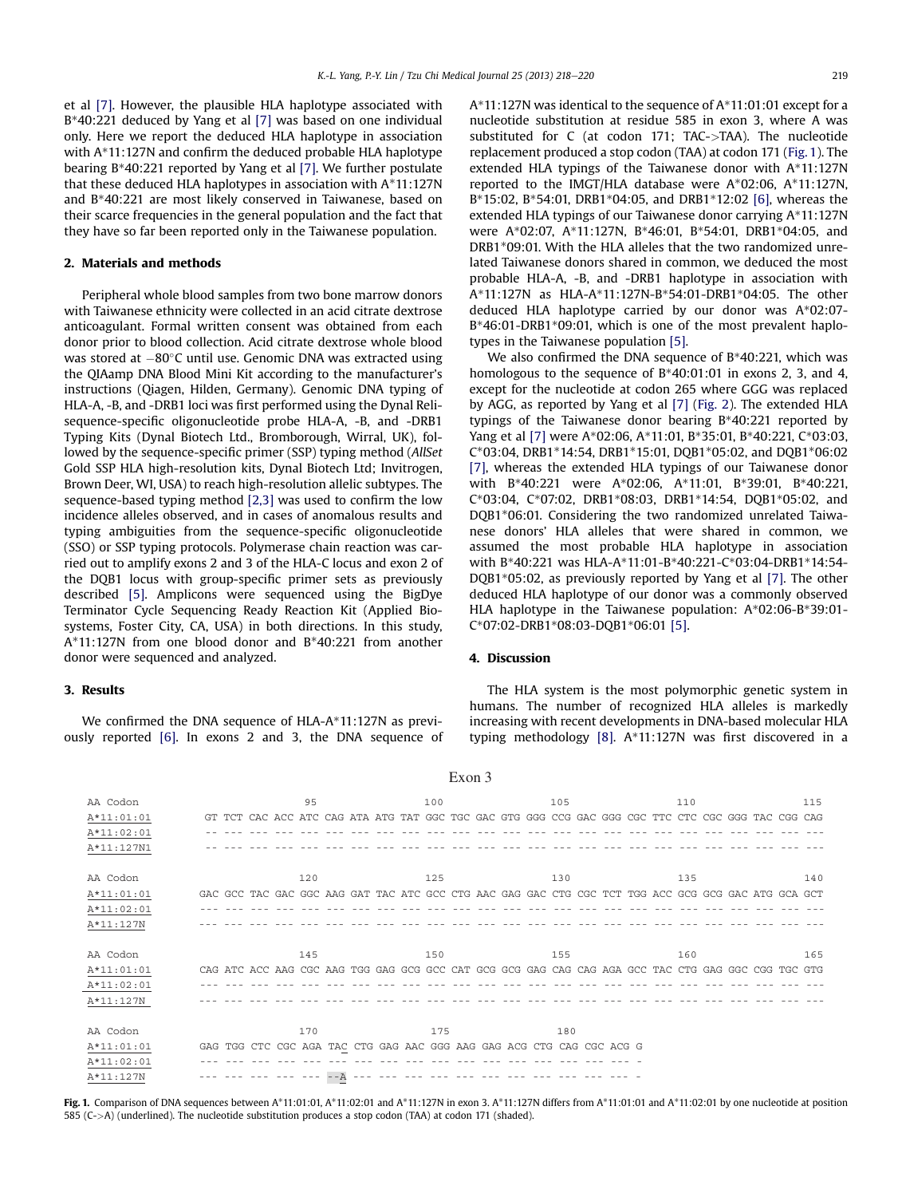et al [\[7\]](#page-2-0). However, the plausible HLA haplotype associated with B\*40:221 deduced by Yang et al [\[7\]](#page-2-0) was based on one individual only. Here we report the deduced HLA haplotype in association with A\*11:127N and confirm the deduced probable HLA haplotype bearing B\*40:221 reported by Yang et al [\[7\]](#page-2-0). We further postulate that these deduced HLA haplotypes in association with A\*11:127N and B\*40:221 are most likely conserved in Taiwanese, based on their scarce frequencies in the general population and the fact that they have so far been reported only in the Taiwanese population.

#### 2. Materials and methods

Peripheral whole blood samples from two bone marrow donors with Taiwanese ethnicity were collected in an acid citrate dextrose anticoagulant. Formal written consent was obtained from each donor prior to blood collection. Acid citrate dextrose whole blood was stored at  $-80^{\circ}$ C until use. Genomic DNA was extracted using the QIAamp DNA Blood Mini Kit according to the manufacturer's instructions (Qiagen, Hilden, Germany). Genomic DNA typing of HLA-A, -B, and -DRB1 loci was first performed using the Dynal Relisequence-specific oligonucleotide probe HLA-A, -B, and -DRB1 Typing Kits (Dynal Biotech Ltd., Bromborough, Wirral, UK), followed by the sequence-specific primer (SSP) typing method (AllSet Gold SSP HLA high-resolution kits, Dynal Biotech Ltd; Invitrogen, Brown Deer, WI, USA) to reach high-resolution allelic subtypes. The sequence-based typing method [\[2,3\]](#page-2-0) was used to confirm the low incidence alleles observed, and in cases of anomalous results and typing ambiguities from the sequence-specific oligonucleotide (SSO) or SSP typing protocols. Polymerase chain reaction was carried out to amplify exons 2 and 3 of the HLA-C locus and exon 2 of the DQB1 locus with group-specific primer sets as previously described [\[5\].](#page-2-0) Amplicons were sequenced using the BigDye Terminator Cycle Sequencing Ready Reaction Kit (Applied Biosystems, Foster City, CA, USA) in both directions. In this study, A\*11:127N from one blood donor and B\*40:221 from another donor were sequenced and analyzed.

#### 3. Results

We confirmed the DNA sequence of HLA-A\*11:127N as previously reported [\[6\].](#page-2-0) In exons 2 and 3, the DNA sequence of A\*11:127N was identical to the sequence of A\*11:01:01 except for a nucleotide substitution at residue 585 in exon 3, where A was substituted for C (at codon 171; TAC->TAA). The nucleotide replacement produced a stop codon (TAA) at codon 171 (Fig. 1). The extended HLA typings of the Taiwanese donor with A\*11:127N reported to the IMGT/HLA database were A\*02:06, A\*11:127N, B\*15:02, B\*54:01, DRB1\*04:05, and DRB1\*12:02 [\[6\]](#page-2-0), whereas the extended HLA typings of our Taiwanese donor carrying A\*11:127N were A\*02:07, A\*11:127N, B\*46:01, B\*54:01, DRB1\*04:05, and DRB1\*09:01. With the HLA alleles that the two randomized unrelated Taiwanese donors shared in common, we deduced the most probable HLA-A, -B, and -DRB1 haplotype in association with A\*11:127N as HLA-A\*11:127N-B\*54:01-DRB1\*04:05. The other deduced HLA haplotype carried by our donor was A\*02:07- B\*46:01-DRB1\*09:01, which is one of the most prevalent haplotypes in the Taiwanese population [\[5\].](#page-2-0)

We also confirmed the DNA sequence of B\*40:221, which was homologous to the sequence of B\*40:01:01 in exons 2, 3, and 4, except for the nucleotide at codon 265 where GGG was replaced by AGG, as reported by Yang et al [\[7\]](#page-2-0) ([Fig. 2\)](#page-2-0). The extended HLA typings of the Taiwanese donor bearing B\*40:221 reported by Yang et al [\[7\]](#page-2-0) were A\*02:06, A\*11:01, B\*35:01, B\*40:221, C\*03:03, C\*03:04, DRB1\*14:54, DRB1\*15:01, DQB1\*05:02, and DQB1\*06:02 [\[7\]](#page-2-0), whereas the extended HLA typings of our Taiwanese donor with B\*40:221 were A\*02:06, A\*11:01, B\*39:01, B\*40:221, C\*03:04, C\*07:02, DRB1\*08:03, DRB1\*14:54, DQB1\*05:02, and DQB1\*06:01. Considering the two randomized unrelated Taiwanese donors' HLA alleles that were shared in common, we assumed the most probable HLA haplotype in association with B\*40:221 was HLA-A\*11:01-B\*40:221-C\*03:04-DRB1\*14:54- DQB1\*05:02, as previously reported by Yang et al [\[7\].](#page-2-0) The other deduced HLA haplotype of our donor was a commonly observed HLA haplotype in the Taiwanese population: A\*02:06-B\*39:01- C\*07:02-DRB1\*08:03-DQB1\*06:01 [\[5\].](#page-2-0)

#### 4. Discussion

The HLA system is the most polymorphic genetic system in humans. The number of recognized HLA alleles is markedly increasing with recent developments in DNA-based molecular HLA typing methodology [\[8\].](#page-2-0) A\*11:127N was first discovered in a

|              |     | $L$ AVII $\cup$ |                                                                       |                                                                                                     |     |
|--------------|-----|-----------------|-----------------------------------------------------------------------|-----------------------------------------------------------------------------------------------------|-----|
| AA Codon     | 95  | 100             | 105                                                                   | 110                                                                                                 | 115 |
| $A*11:01:01$ |     |                 |                                                                       | GT TCT CAC ACC ATC CAG ATA ATG TAT GGC TGC GAC GTG GGG CCG GAC GGG CGC TTC CTC CGC GGG TAC CGG CAG  |     |
| A*11:02:01   |     |                 |                                                                       |                                                                                                     |     |
| A*11:127N1   |     |                 |                                                                       |                                                                                                     |     |
| AA Codon     | 120 | 125             | 130                                                                   | 135                                                                                                 | 140 |
| A*11:01:01   |     |                 |                                                                       | GAC GCC TAC GAC GGC AAG GAT TAC ATC GCC CTG AAC GAG GAC CTG CGC TCT TGG ACC GCG GCG GAC ATG GCA GCT |     |
| $A*11:02:01$ |     |                 |                                                                       |                                                                                                     |     |
| A*11:127N    |     |                 |                                                                       |                                                                                                     |     |
| AA Codon     | 145 | 150             | 155                                                                   | 160                                                                                                 | 165 |
| A*11:01:01   |     |                 |                                                                       | CAG ATC ACC AAG CGC AAG TGG GAG GCG GCC CAT GCG GCG GAG CAG CAG AGA GCC TAC CTG GAG GGC CGG TGC GTG |     |
| $A*11:02:01$ |     |                 |                                                                       |                                                                                                     |     |
| A*11:127N    |     |                 |                                                                       |                                                                                                     |     |
| AA Codon     | 170 | 175             | 180                                                                   |                                                                                                     |     |
| A*11:01:01   |     |                 | GAG TGG CTC CGC AGA TAC CTG GAG AAC GGG AAG GAG ACG CTG CAG CGC ACG G |                                                                                                     |     |
| $A*11:02:01$ |     |                 |                                                                       |                                                                                                     |     |
| $A*11:127N$  |     |                 |                                                                       |                                                                                                     |     |

Fig. 1. Comparison of DNA sequences between A\*11:01:01, A\*11:02:01 and A\*11:127N in exon 3. A\*11:127N differs from A\*11:01:01 and A\*11:02:01 by one nucleotide at position 585 (C->A) (underlined). The nucleotide substitution produces a stop codon (TAA) at codon 171 (shaded).

#### $Fron 3$